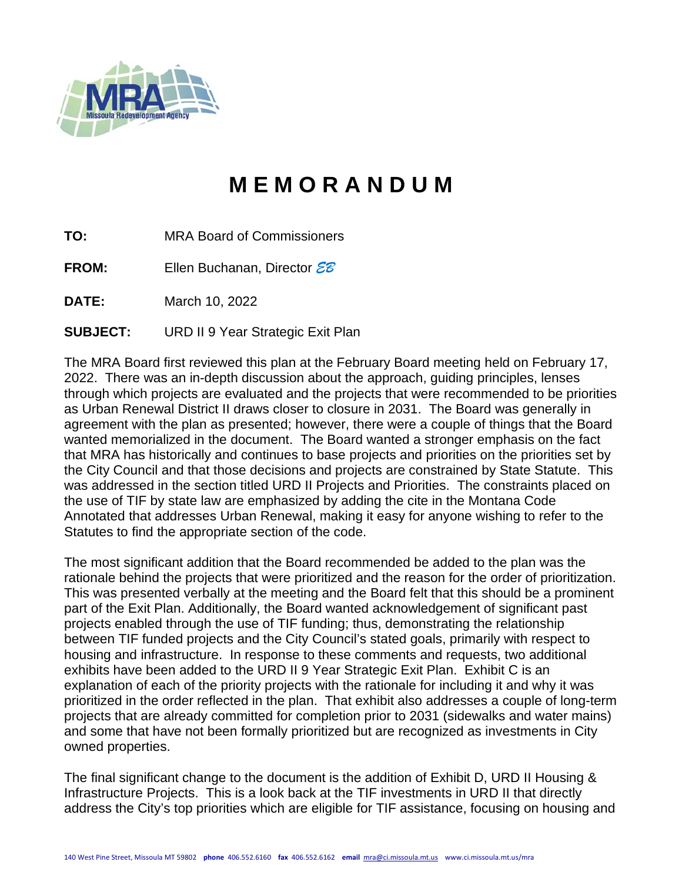

# **M E M O R A N D U M**

- **TO:** MRA Board of Commissioners
- **FROM:** Ellen Buchanan, Director *EB*

**DATE:** March 10, 2022

**SUBJECT:** URD II 9 Year Strategic Exit Plan

The MRA Board first reviewed this plan at the February Board meeting held on February 17, 2022. There was an in-depth discussion about the approach, guiding principles, lenses through which projects are evaluated and the projects that were recommended to be priorities as Urban Renewal District II draws closer to closure in 2031. The Board was generally in agreement with the plan as presented; however, there were a couple of things that the Board wanted memorialized in the document. The Board wanted a stronger emphasis on the fact that MRA has historically and continues to base projects and priorities on the priorities set by the City Council and that those decisions and projects are constrained by State Statute. This was addressed in the section titled URD II Projects and Priorities. The constraints placed on the use of TIF by state law are emphasized by adding the cite in the Montana Code Annotated that addresses Urban Renewal, making it easy for anyone wishing to refer to the Statutes to find the appropriate section of the code.

The most significant addition that the Board recommended be added to the plan was the rationale behind the projects that were prioritized and the reason for the order of prioritization. This was presented verbally at the meeting and the Board felt that this should be a prominent part of the Exit Plan. Additionally, the Board wanted acknowledgement of significant past projects enabled through the use of TIF funding; thus, demonstrating the relationship between TIF funded projects and the City Council's stated goals, primarily with respect to housing and infrastructure. In response to these comments and requests, two additional exhibits have been added to the URD II 9 Year Strategic Exit Plan. Exhibit C is an explanation of each of the priority projects with the rationale for including it and why it was prioritized in the order reflected in the plan. That exhibit also addresses a couple of long-term projects that are already committed for completion prior to 2031 (sidewalks and water mains) and some that have not been formally prioritized but are recognized as investments in City owned properties.

The final significant change to the document is the addition of Exhibit D, URD II Housing & Infrastructure Projects. This is a look back at the TIF investments in URD II that directly address the City's top priorities which are eligible for TIF assistance, focusing on housing and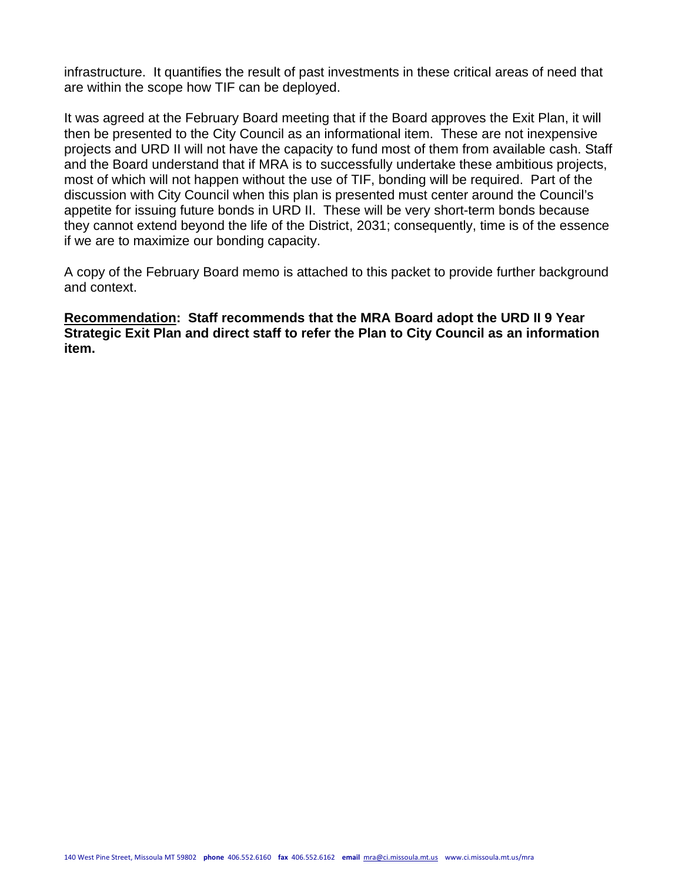infrastructure. It quantifies the result of past investments in these critical areas of need that are within the scope how TIF can be deployed.

It was agreed at the February Board meeting that if the Board approves the Exit Plan, it will then be presented to the City Council as an informational item. These are not inexpensive projects and URD II will not have the capacity to fund most of them from available cash. Staff and the Board understand that if MRA is to successfully undertake these ambitious projects, most of which will not happen without the use of TIF, bonding will be required. Part of the discussion with City Council when this plan is presented must center around the Council's appetite for issuing future bonds in URD II. These will be very short-term bonds because they cannot extend beyond the life of the District, 2031; consequently, time is of the essence if we are to maximize our bonding capacity.

A copy of the February Board memo is attached to this packet to provide further background and context.

**Recommendation: Staff recommends that the MRA Board adopt the URD II 9 Year Strategic Exit Plan and direct staff to refer the Plan to City Council as an information item.**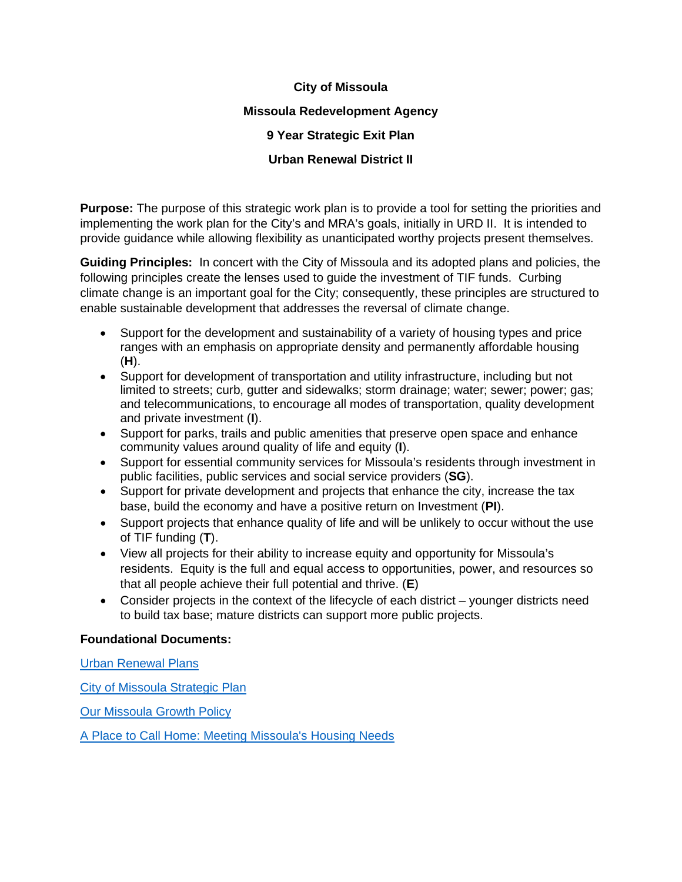## **City of Missoula**

#### **Missoula Redevelopment Agency**

## **9 Year Strategic Exit Plan**

# **Urban Renewal District II**

**Purpose:** The purpose of this strategic work plan is to provide a tool for setting the priorities and implementing the work plan for the City's and MRA's goals, initially in URD II. It is intended to provide guidance while allowing flexibility as unanticipated worthy projects present themselves.

**Guiding Principles:** In concert with the City of Missoula and its adopted plans and policies, the following principles create the lenses used to guide the investment of TIF funds. Curbing climate change is an important goal for the City; consequently, these principles are structured to enable sustainable development that addresses the reversal of climate change.

- Support for the development and sustainability of a variety of housing types and price ranges with an emphasis on appropriate density and permanently affordable housing (**H**).
- Support for development of transportation and utility infrastructure, including but not limited to streets; curb, gutter and sidewalks; storm drainage; water; sewer; power; gas; and telecommunications, to encourage all modes of transportation, quality development and private investment (**I**).
- Support for parks, trails and public amenities that preserve open space and enhance community values around quality of life and equity (**I**).
- Support for essential community services for Missoula's residents through investment in public facilities, public services and social service providers (**SG**).
- Support for private development and projects that enhance the city, increase the tax base, build the economy and have a positive return on Investment (**PI**).
- Support projects that enhance quality of life and will be unlikely to occur without the use of TIF funding (**T**).
- View all projects for their ability to increase equity and opportunity for Missoula's residents. Equity is the full and equal access to opportunities, power, and resources so that all people achieve their full potential and thrive. (**E**)
- Consider projects in the context of the lifecycle of each district younger districts need to build tax base; mature districts can support more public projects.

#### **Foundational Documents:**

[Urban Renewal Plans](https://www.ci.missoula.mt.us/2418/Urban-Renewal-Districts)

[City of Missoula Strategic Plan](https://www.ci.missoula.mt.us/DocumentCenter/View/50945/Missoula-Strategic-Plan-2019-FINAL)

[Our Missoula Growth Policy](https://www.ci.missoula.mt.us/1748/Our-Missoula-Growth-Policy)

[A Place to Call Home: Meeting Missoula's Housing Needs](https://www.ci.missoula.mt.us/2128/Citywide-Housing-Policy)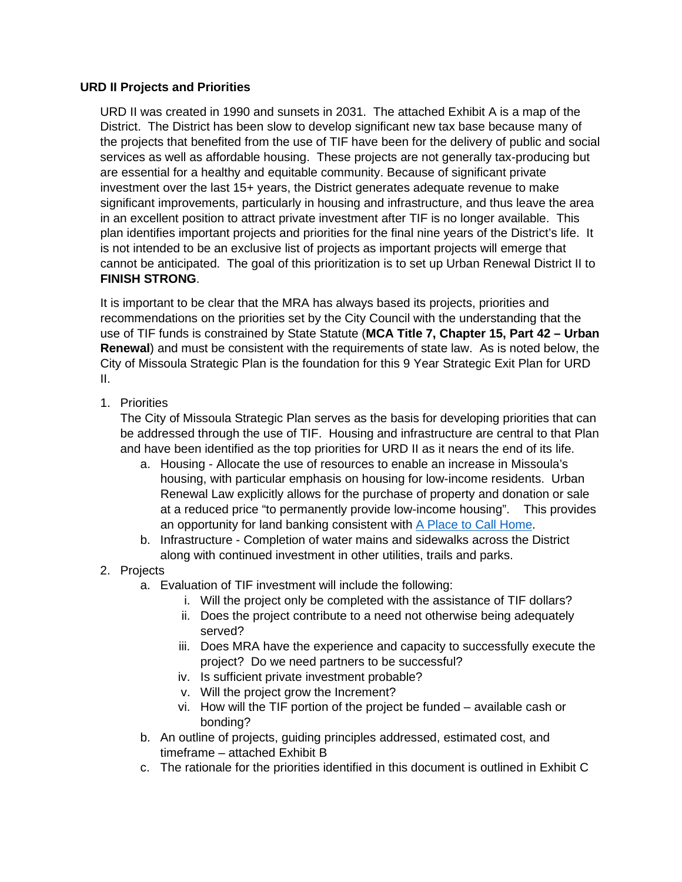#### **URD II Projects and Priorities**

URD II was created in 1990 and sunsets in 2031. The attached Exhibit A is a map of the District. The District has been slow to develop significant new tax base because many of the projects that benefited from the use of TIF have been for the delivery of public and social services as well as affordable housing. These projects are not generally tax-producing but are essential for a healthy and equitable community. Because of significant private investment over the last 15+ years, the District generates adequate revenue to make significant improvements, particularly in housing and infrastructure, and thus leave the area in an excellent position to attract private investment after TIF is no longer available. This plan identifies important projects and priorities for the final nine years of the District's life. It is not intended to be an exclusive list of projects as important projects will emerge that cannot be anticipated. The goal of this prioritization is to set up Urban Renewal District II to **FINISH STRONG**.

It is important to be clear that the MRA has always based its projects, priorities and recommendations on the priorities set by the City Council with the understanding that the use of TIF funds is constrained by State Statute (**MCA Title 7, Chapter 15, Part 42 – Urban Renewal**) and must be consistent with the requirements of state law. As is noted below, the City of Missoula Strategic Plan is the foundation for this 9 Year Strategic Exit Plan for URD II.

1. Priorities

The City of Missoula Strategic Plan serves as the basis for developing priorities that can be addressed through the use of TIF. Housing and infrastructure are central to that Plan and have been identified as the top priorities for URD II as it nears the end of its life.

- a. Housing Allocate the use of resources to enable an increase in Missoula's housing, with particular emphasis on housing for low-income residents. Urban Renewal Law explicitly allows for the purchase of property and donation or sale at a reduced price "to permanently provide low-income housing". This provides an opportunity for land banking consistent with [A Place to Call Home.](https://www.ci.missoula.mt.us/DocumentCenter/View/50833/A-Place-to-Call-Home_Meeting-Missoulas-Housing-Needs_Adopted-PDF)
- b. Infrastructure Completion of water mains and sidewalks across the District along with continued investment in other utilities, trails and parks.
- 2. Projects
	- a. Evaluation of TIF investment will include the following:
		- i. Will the project only be completed with the assistance of TIF dollars?
		- ii. Does the project contribute to a need not otherwise being adequately served?
		- iii. Does MRA have the experience and capacity to successfully execute the project? Do we need partners to be successful?
		- iv. Is sufficient private investment probable?
		- v. Will the project grow the Increment?
		- vi. How will the TIF portion of the project be funded available cash or bonding?
	- b. An outline of projects, guiding principles addressed, estimated cost, and timeframe – attached Exhibit B
	- c. The rationale for the priorities identified in this document is outlined in Exhibit C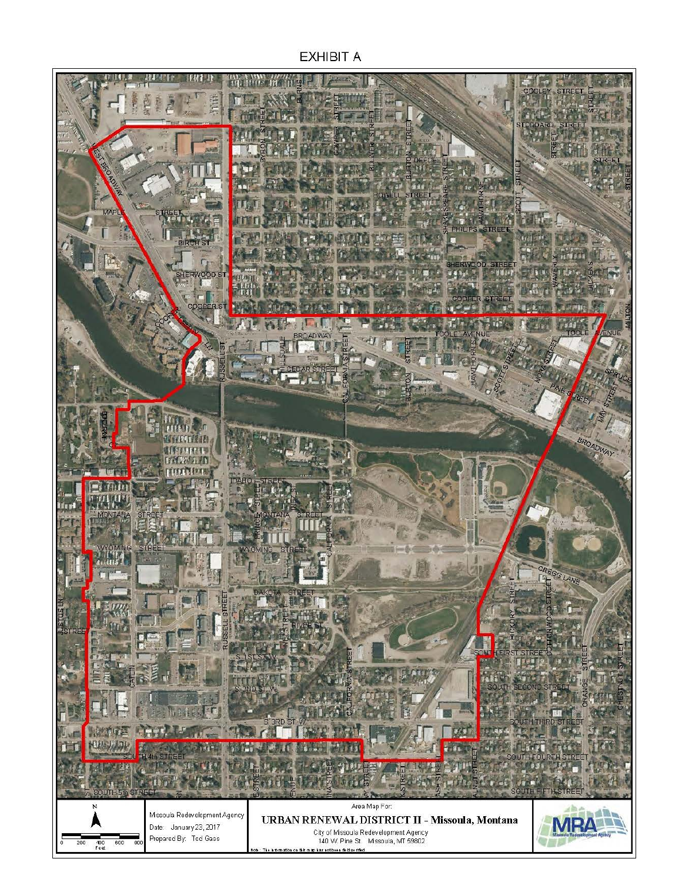**EXHIBIT A** 

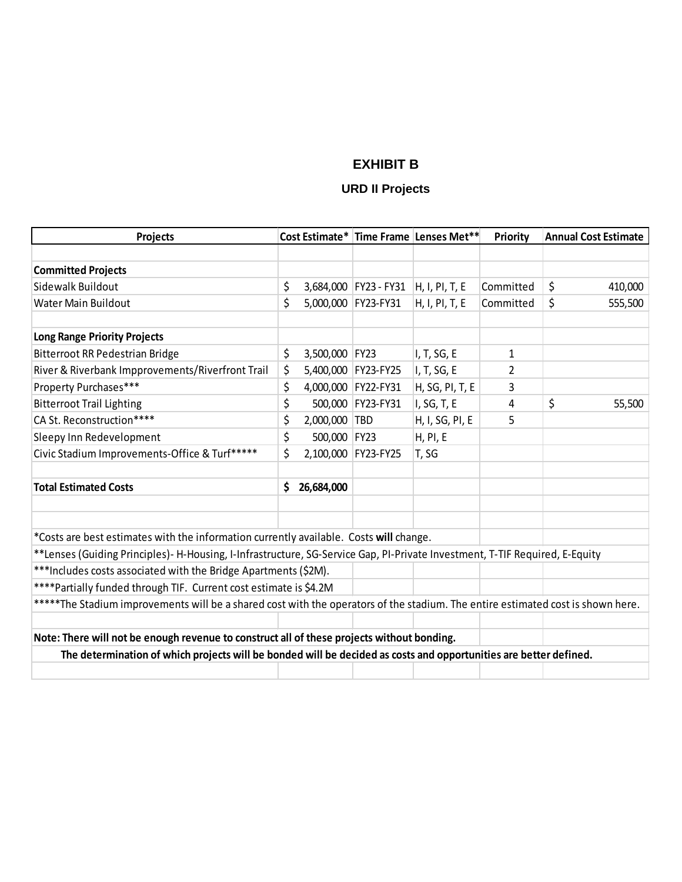# **EXHIBIT B**

# **URD II Projects**

| Projects                                                                                                                        | Cost Estimate* Time Frame Lenses Met** |                |                                      |                 | Priority       | <b>Annual Cost Estimate</b> |         |
|---------------------------------------------------------------------------------------------------------------------------------|----------------------------------------|----------------|--------------------------------------|-----------------|----------------|-----------------------------|---------|
|                                                                                                                                 |                                        |                |                                      |                 |                |                             |         |
| <b>Committed Projects</b>                                                                                                       |                                        |                |                                      |                 |                |                             |         |
| Sidewalk Buildout                                                                                                               | \$                                     |                | 3,684,000 FY23 - FY31 H, I, PI, T, E |                 | Committed      | \$                          | 410,000 |
| Water Main Buildout                                                                                                             | \$                                     |                | 5,000,000 FY23-FY31                  | H, I, PI, T, E  | Committed      | \$                          | 555,500 |
| <b>Long Range Priority Projects</b>                                                                                             |                                        |                |                                      |                 |                |                             |         |
| Bitterroot RR Pedestrian Bridge                                                                                                 | \$                                     | 3,500,000 FY23 |                                      | I, T, SG, E     | 1              |                             |         |
| River & Riverbank Impprovements/Riverfront Trail                                                                                | \$                                     |                | 5,400,000 FY23-FY25                  | I, T, SG, E     | $\overline{2}$ |                             |         |
| Property Purchases***                                                                                                           | \$                                     |                | 4,000,000 FY22-FY31                  | H, SG, PI, T, E | 3              |                             |         |
| <b>Bitterroot Trail Lighting</b>                                                                                                | \$                                     |                | 500,000 FY23-FY31                    | I, SG, T, E     | 4              | \$                          | 55,500  |
| CA St. Reconstruction****                                                                                                       | \$                                     | 2,000,000 TBD  |                                      | H, I, SG, PI, E | 5              |                             |         |
| Sleepy Inn Redevelopment                                                                                                        | \$                                     | 500,000 FY23   |                                      | <b>H, PI, E</b> |                |                             |         |
| Civic Stadium Improvements-Office & Turf*****                                                                                   | \$                                     |                | 2,100,000 FY23-FY25                  | T, SG           |                |                             |         |
| <b>Total Estimated Costs</b>                                                                                                    | \$.                                    | 26,684,000     |                                      |                 |                |                             |         |
|                                                                                                                                 |                                        |                |                                      |                 |                |                             |         |
| *Costs are best estimates with the information currently available. Costs will change.                                          |                                        |                |                                      |                 |                |                             |         |
| **Lenses (Guiding Principles)- H-Housing, I-Infrastructure, SG-Service Gap, PI-Private Investment, T-TIF Required, E-Equity     |                                        |                |                                      |                 |                |                             |         |
| *** Includes costs associated with the Bridge Apartments (\$2M).                                                                |                                        |                |                                      |                 |                |                             |         |
| **** Partially funded through TIF. Current cost estimate is \$4.2M                                                              |                                        |                |                                      |                 |                |                             |         |
| *****The Stadium improvements will be a shared cost with the operators of the stadium. The entire estimated cost is shown here. |                                        |                |                                      |                 |                |                             |         |
|                                                                                                                                 |                                        |                |                                      |                 |                |                             |         |
| Note: There will not be enough revenue to construct all of these projects without bonding.                                      |                                        |                |                                      |                 |                |                             |         |
| The determination of which projects will be bonded will be decided as costs and opportunities are better defined.               |                                        |                |                                      |                 |                |                             |         |
|                                                                                                                                 |                                        |                |                                      |                 |                |                             |         |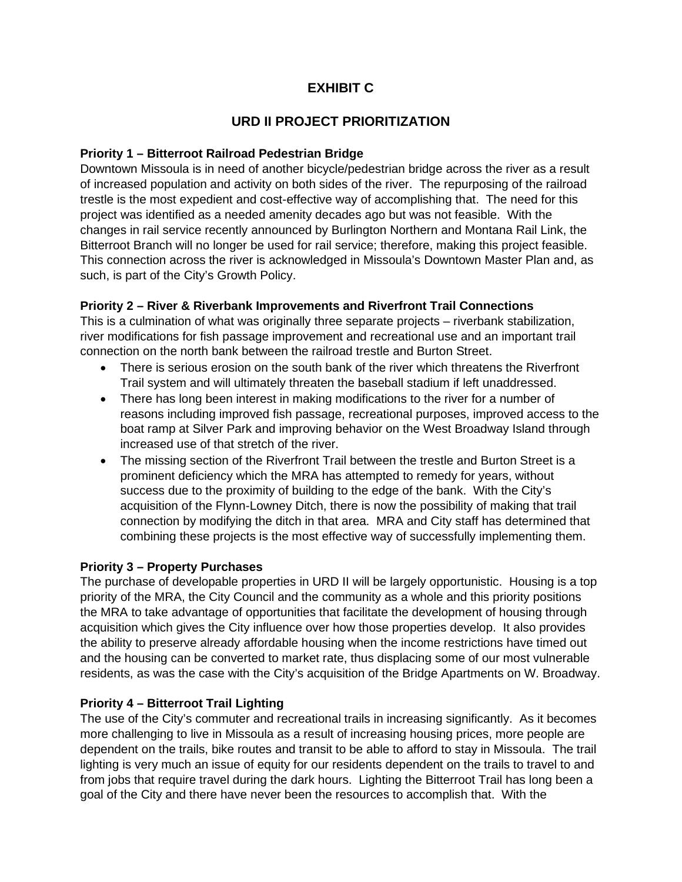# **EXHIBIT C**

# **URD II PROJECT PRIORITIZATION**

#### **Priority 1 – Bitterroot Railroad Pedestrian Bridge**

Downtown Missoula is in need of another bicycle/pedestrian bridge across the river as a result of increased population and activity on both sides of the river. The repurposing of the railroad trestle is the most expedient and cost-effective way of accomplishing that. The need for this project was identified as a needed amenity decades ago but was not feasible. With the changes in rail service recently announced by Burlington Northern and Montana Rail Link, the Bitterroot Branch will no longer be used for rail service; therefore, making this project feasible. This connection across the river is acknowledged in Missoula's Downtown Master Plan and, as such, is part of the City's Growth Policy.

### **Priority 2 – River & Riverbank Improvements and Riverfront Trail Connections**

This is a culmination of what was originally three separate projects – riverbank stabilization, river modifications for fish passage improvement and recreational use and an important trail connection on the north bank between the railroad trestle and Burton Street.

- There is serious erosion on the south bank of the river which threatens the Riverfront Trail system and will ultimately threaten the baseball stadium if left unaddressed.
- There has long been interest in making modifications to the river for a number of reasons including improved fish passage, recreational purposes, improved access to the boat ramp at Silver Park and improving behavior on the West Broadway Island through increased use of that stretch of the river.
- The missing section of the Riverfront Trail between the trestle and Burton Street is a prominent deficiency which the MRA has attempted to remedy for years, without success due to the proximity of building to the edge of the bank. With the City's acquisition of the Flynn-Lowney Ditch, there is now the possibility of making that trail connection by modifying the ditch in that area. MRA and City staff has determined that combining these projects is the most effective way of successfully implementing them.

#### **Priority 3 – Property Purchases**

The purchase of developable properties in URD II will be largely opportunistic. Housing is a top priority of the MRA, the City Council and the community as a whole and this priority positions the MRA to take advantage of opportunities that facilitate the development of housing through acquisition which gives the City influence over how those properties develop. It also provides the ability to preserve already affordable housing when the income restrictions have timed out and the housing can be converted to market rate, thus displacing some of our most vulnerable residents, as was the case with the City's acquisition of the Bridge Apartments on W. Broadway.

# **Priority 4 – Bitterroot Trail Lighting**

The use of the City's commuter and recreational trails in increasing significantly. As it becomes more challenging to live in Missoula as a result of increasing housing prices, more people are dependent on the trails, bike routes and transit to be able to afford to stay in Missoula. The trail lighting is very much an issue of equity for our residents dependent on the trails to travel to and from jobs that require travel during the dark hours. Lighting the Bitterroot Trail has long been a goal of the City and there have never been the resources to accomplish that. With the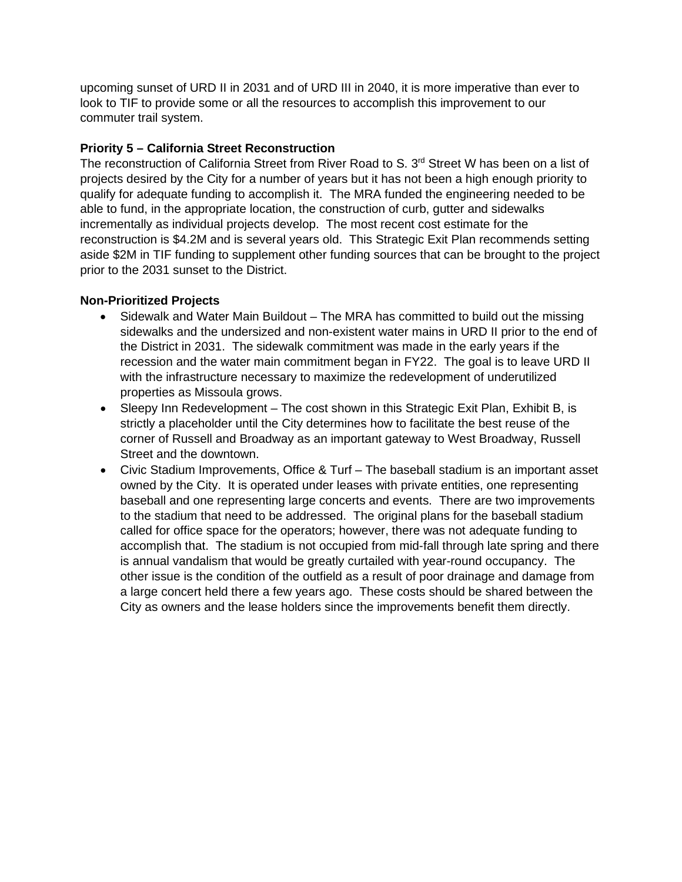upcoming sunset of URD II in 2031 and of URD III in 2040, it is more imperative than ever to look to TIF to provide some or all the resources to accomplish this improvement to our commuter trail system.

#### **Priority 5 – California Street Reconstruction**

The reconstruction of California Street from River Road to S. 3<sup>rd</sup> Street W has been on a list of projects desired by the City for a number of years but it has not been a high enough priority to qualify for adequate funding to accomplish it. The MRA funded the engineering needed to be able to fund, in the appropriate location, the construction of curb, gutter and sidewalks incrementally as individual projects develop. The most recent cost estimate for the reconstruction is \$4.2M and is several years old. This Strategic Exit Plan recommends setting aside \$2M in TIF funding to supplement other funding sources that can be brought to the project prior to the 2031 sunset to the District.

### **Non-Prioritized Projects**

- Sidewalk and Water Main Buildout The MRA has committed to build out the missing sidewalks and the undersized and non-existent water mains in URD II prior to the end of the District in 2031. The sidewalk commitment was made in the early years if the recession and the water main commitment began in FY22. The goal is to leave URD II with the infrastructure necessary to maximize the redevelopment of underutilized properties as Missoula grows.
- Sleepy Inn Redevelopment The cost shown in this Strategic Exit Plan, Exhibit B, is strictly a placeholder until the City determines how to facilitate the best reuse of the corner of Russell and Broadway as an important gateway to West Broadway, Russell Street and the downtown.
- Civic Stadium Improvements, Office & Turf The baseball stadium is an important asset owned by the City. It is operated under leases with private entities, one representing baseball and one representing large concerts and events. There are two improvements to the stadium that need to be addressed. The original plans for the baseball stadium called for office space for the operators; however, there was not adequate funding to accomplish that. The stadium is not occupied from mid-fall through late spring and there is annual vandalism that would be greatly curtailed with year-round occupancy. The other issue is the condition of the outfield as a result of poor drainage and damage from a large concert held there a few years ago. These costs should be shared between the City as owners and the lease holders since the improvements benefit them directly.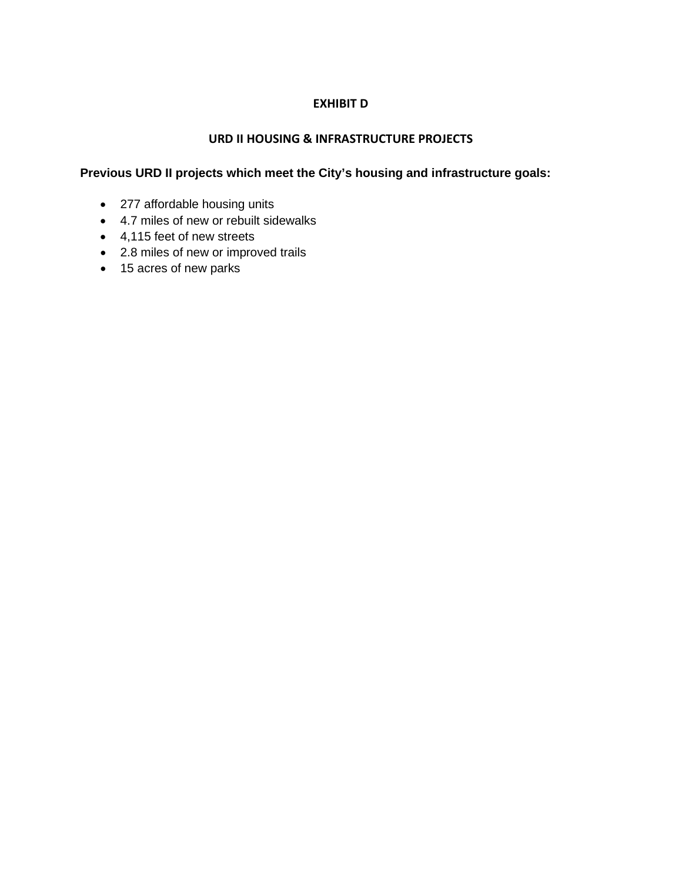# **EXHIBIT D**

#### **URD II HOUSING & INFRASTRUCTURE PROJECTS**

### **Previous URD II projects which meet the City's housing and infrastructure goals:**

- 277 affordable housing units
- 4.7 miles of new or rebuilt sidewalks
- 4,115 feet of new streets
- 2.8 miles of new or improved trails
- 15 acres of new parks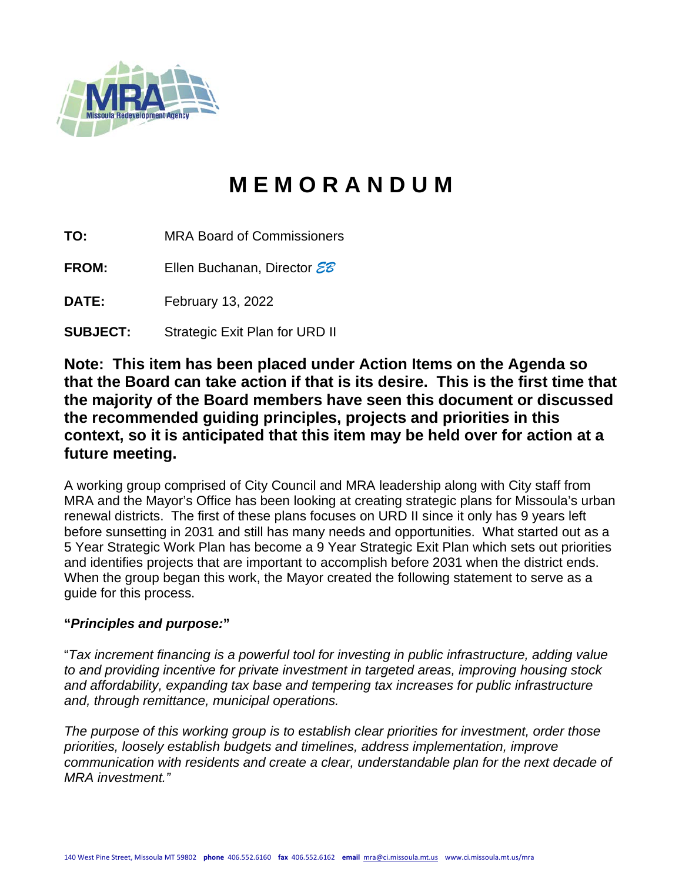

# **M E M O R A N D U M**

**TO:** MRA Board of Commissioners

**FROM:** Ellen Buchanan, Director *EB*

**DATE:** February 13, 2022

**SUBJECT:** Strategic Exit Plan for URD II

**Note: This item has been placed under Action Items on the Agenda so that the Board can take action if that is its desire. This is the first time that the majority of the Board members have seen this document or discussed the recommended guiding principles, projects and priorities in this context, so it is anticipated that this item may be held over for action at a future meeting.**

A working group comprised of City Council and MRA leadership along with City staff from MRA and the Mayor's Office has been looking at creating strategic plans for Missoula's urban renewal districts. The first of these plans focuses on URD II since it only has 9 years left before sunsetting in 2031 and still has many needs and opportunities. What started out as a 5 Year Strategic Work Plan has become a 9 Year Strategic Exit Plan which sets out priorities and identifies projects that are important to accomplish before 2031 when the district ends. When the group began this work, the Mayor created the following statement to serve as a guide for this process.

# **"***Principles and purpose:***"**

"*Tax increment financing is a powerful tool for investing in public infrastructure, adding value to and providing incentive for private investment in targeted areas, improving housing stock and affordability, expanding tax base and tempering tax increases for public infrastructure and, through remittance, municipal operations.*

*The purpose of this working group is to establish clear priorities for investment, order those priorities, loosely establish budgets and timelines, address implementation, improve communication with residents and create a clear, understandable plan for the next decade of MRA investment."*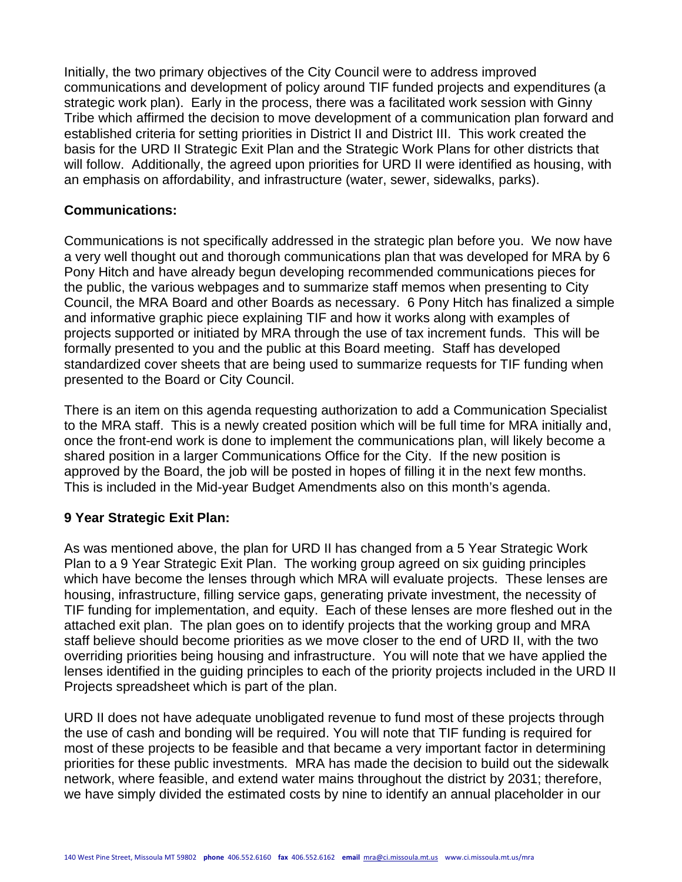Initially, the two primary objectives of the City Council were to address improved communications and development of policy around TIF funded projects and expenditures (a strategic work plan). Early in the process, there was a facilitated work session with Ginny Tribe which affirmed the decision to move development of a communication plan forward and established criteria for setting priorities in District II and District III. This work created the basis for the URD II Strategic Exit Plan and the Strategic Work Plans for other districts that will follow. Additionally, the agreed upon priorities for URD II were identified as housing, with an emphasis on affordability, and infrastructure (water, sewer, sidewalks, parks).

## **Communications:**

Communications is not specifically addressed in the strategic plan before you. We now have a very well thought out and thorough communications plan that was developed for MRA by 6 Pony Hitch and have already begun developing recommended communications pieces for the public, the various webpages and to summarize staff memos when presenting to City Council, the MRA Board and other Boards as necessary. 6 Pony Hitch has finalized a simple and informative graphic piece explaining TIF and how it works along with examples of projects supported or initiated by MRA through the use of tax increment funds. This will be formally presented to you and the public at this Board meeting. Staff has developed standardized cover sheets that are being used to summarize requests for TIF funding when presented to the Board or City Council.

There is an item on this agenda requesting authorization to add a Communication Specialist to the MRA staff. This is a newly created position which will be full time for MRA initially and, once the front-end work is done to implement the communications plan, will likely become a shared position in a larger Communications Office for the City. If the new position is approved by the Board, the job will be posted in hopes of filling it in the next few months. This is included in the Mid-year Budget Amendments also on this month's agenda.

# **9 Year Strategic Exit Plan:**

As was mentioned above, the plan for URD II has changed from a 5 Year Strategic Work Plan to a 9 Year Strategic Exit Plan. The working group agreed on six guiding principles which have become the lenses through which MRA will evaluate projects. These lenses are housing, infrastructure, filling service gaps, generating private investment, the necessity of TIF funding for implementation, and equity. Each of these lenses are more fleshed out in the attached exit plan. The plan goes on to identify projects that the working group and MRA staff believe should become priorities as we move closer to the end of URD II, with the two overriding priorities being housing and infrastructure. You will note that we have applied the lenses identified in the guiding principles to each of the priority projects included in the URD II Projects spreadsheet which is part of the plan.

URD II does not have adequate unobligated revenue to fund most of these projects through the use of cash and bonding will be required. You will note that TIF funding is required for most of these projects to be feasible and that became a very important factor in determining priorities for these public investments. MRA has made the decision to build out the sidewalk network, where feasible, and extend water mains throughout the district by 2031; therefore, we have simply divided the estimated costs by nine to identify an annual placeholder in our